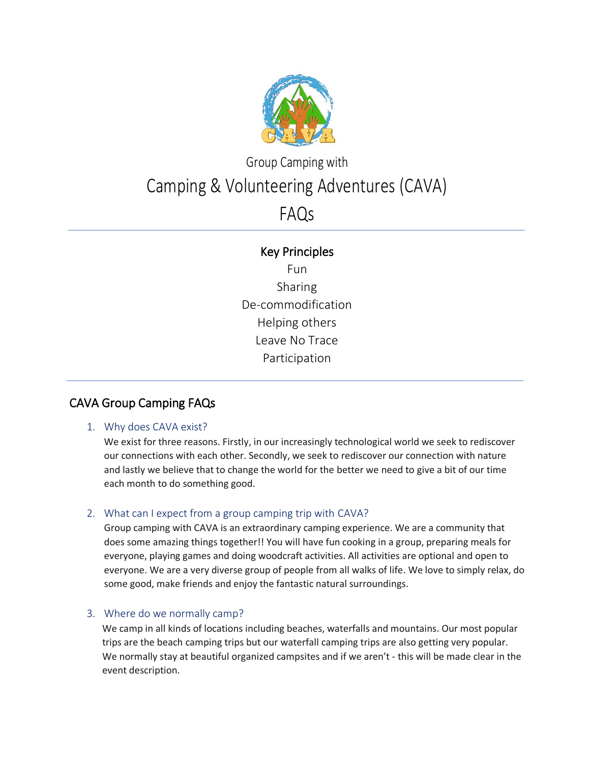

# Group Camping with Camping & Volunteering Adventures (CAVA)

# FAQs

## Key Principles

Fun Sharing De-commodification Helping others Leave No Trace Participation

# CAVA Group Camping FAQs

Ξ

 $\overline{a}$ 

### 1. Why does CAVA exist?

We exist for three reasons. Firstly, in our increasingly technological world we seek to rediscover our connections with each other. Secondly, we seek to rediscover our connection with nature and lastly we believe that to change the world for the better we need to give a bit of our time each month to do something good.

### 2. What can I expect from a group camping trip with CAVA?

Group camping with CAVA is an extraordinary camping experience. We are a community that does some amazing things together!! You will have fun cooking in a group, preparing meals for everyone, playing games and doing woodcraft activities. All activities are optional and open to everyone. We are a very diverse group of people from all walks of life. We love to simply relax, do some good, make friends and enjoy the fantastic natural surroundings.

### 3. Where do we normally camp?

We camp in all kinds of locations including beaches, waterfalls and mountains. Our most popular trips are the beach camping trips but our waterfall camping trips are also getting very popular. We normally stay at beautiful organized campsites and if we aren't - this will be made clear in the event description.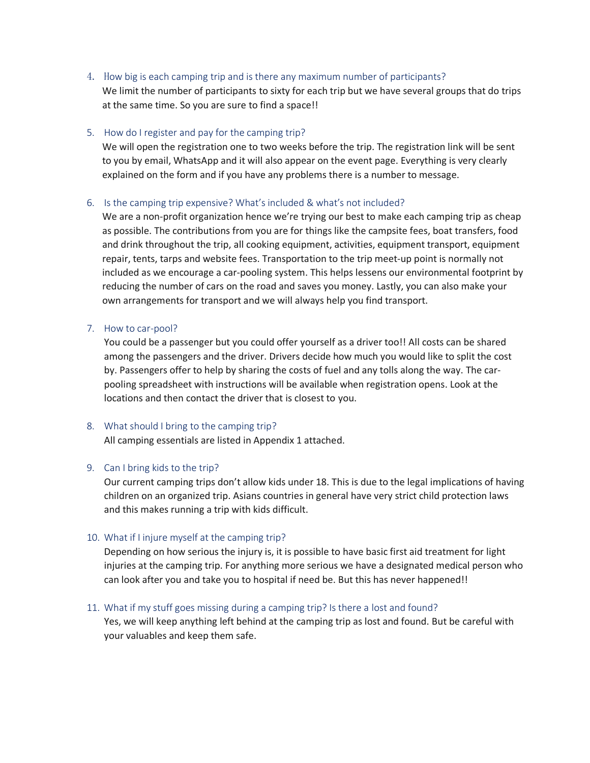4. How big is each camping trip and is there any maximum number of participants?

We limit the number of participants to sixty for each trip but we have several groups that do trips at the same time. So you are sure to find a space!!

#### 5. How do I register and pay for the camping trip?

We will open the registration one to two weeks before the trip. The registration link will be sent to you by email, WhatsApp and it will also appear on the event page. Everything is very clearly explained on the form and if you have any problems there is a number to message.

#### 6. Is the camping trip expensive? What's included & what's not included?

We are a non-profit organization hence we're trying our best to make each camping trip as cheap as possible. The contributions from you are for things like the campsite fees, boat transfers, food and drink throughout the trip, all cooking equipment, activities, equipment transport, equipment repair, tents, tarps and website fees. Transportation to the trip meet-up point is normally not included as we encourage a car-pooling system. This helps lessens our environmental footprint by reducing the number of cars on the road and saves you money. Lastly, you can also make your own arrangements for transport and we will always help you find transport.

#### 7. How to car-pool?

You could be a passenger but you could offer yourself as a driver too!! All costs can be shared among the passengers and the driver. Drivers decide how much you would like to split the cost by. Passengers offer to help by sharing the costs of fuel and any tolls along the way. The carpooling spreadsheet with instructions will be available when registration opens. Look at the locations and then contact the driver that is closest to you.

#### 8. What should I bring to the camping trip?

All camping essentials are listed in Appendix 1 attached.

#### 9. Can I bring kids to the trip?

Our current camping trips don't allow kids under 18. This is due to the legal implications of having children on an organized trip. Asians countries in general have very strict child protection laws and this makes running a trip with kids difficult.

#### 10. What if I injure myself at the camping trip?

Depending on how serious the injury is, it is possible to have basic first aid treatment for light injuries at the camping trip. For anything more serious we have a designated medical person who can look after you and take you to hospital if need be. But this has never happened!!

#### 11. What if my stuff goes missing during a camping trip? Is there a lost and found?

Yes, we will keep anything left behind at the camping trip as lost and found. But be careful with your valuables and keep them safe.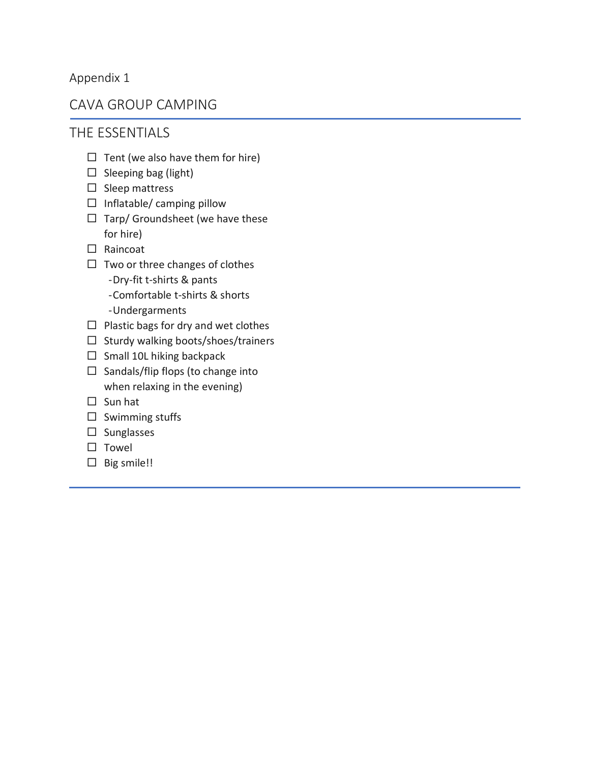## Appendix 1

# CAVA GROUP CAMPING

# THE ESSENTIALS

- $\Box$  Tent (we also have them for hire)
- $\square$  Sleeping bag (light)
- $\square$  Sleep mattress
- $\Box$  Inflatable/ camping pillow
- $\Box$  Tarp/ Groundsheet (we have these for hire)
- □ Raincoat
- $\Box$  Two or three changes of clothes -Dry-fit t-shirts & pants
	- -Comfortable t-shirts & shorts
	- -Undergarments
- $\Box$  Plastic bags for dry and wet clothes
- $\Box$  Sturdy walking boots/shoes/trainers
- $\Box$  Small 10L hiking backpack
- $\Box$  Sandals/flip flops (to change into when relaxing in the evening)
- $\square$  Sun hat
- $\square$  Swimming stuffs
- $\square$  Sunglasses
- $\square$  Towel
- $\square$  Big smile!!